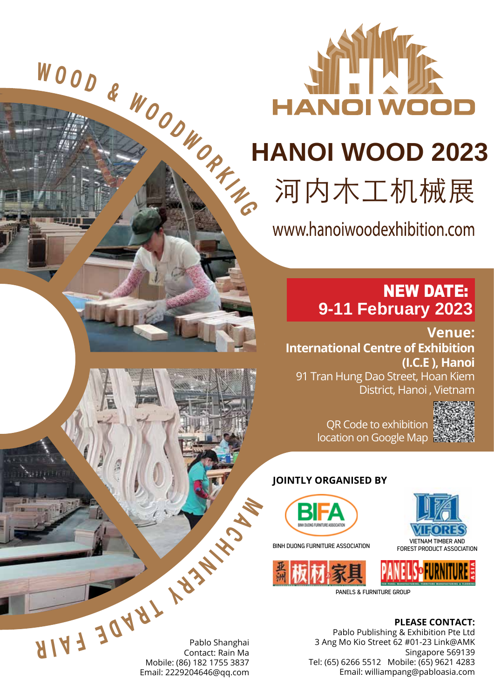

# **HANOI WOOD 2023**

河内木工机械展

www.hanoiwoodexhibition.com

## NEW DATE: **9-11 February 2023**

**Venue: International Centre of Exhibition (I.C.E ), Hanoi**

91 Tran Hung Dao Street, Hoan Kiem District, Hanoi, Vietnam

QR Code to exhibition location on Google Map

### **JOINTLY ORGANISED BY**



BINH DUONG FURNITURE ASSOCIATION VIETNAM TIMBER AND



**PLEASE CONTACT:**

FOREST PRODUCT ASSOCIATION

Pablo Publishing & Exhibition Pte Ltd 3 Ang Mo Kio Street 62 #01-23 Link@AMK Singapore 569139 Tel: (65) 6266 5512 Mobile: (65) 9621 4283 Email: williampang@pabloasia.com

Pablo Shanghai Contact: Rain Ma Mobile: (86) 182 1755 3837 Email: 2229204646@qq.com **Pablo Shanghai Contact: Rain Ma**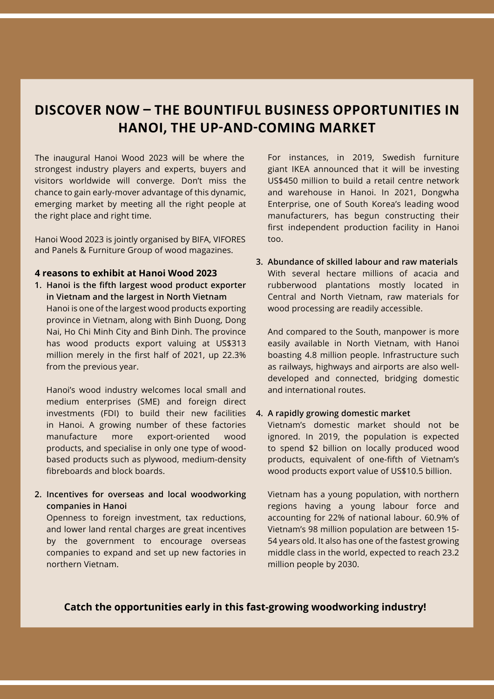## **DISCOVER NOW – THE BOUNTIFUL BUSINESS OPPORTUNITIES IN HANOI, THE UP-AND-COMING MARKET**

strongest industry players and experts, buyers and visitors worldwide will converge. Don't miss the chance to gain early-mover advantage of this dynamic, emerging market by meeting all the right people at the right place and right time. The inaugural Hanoi Wood 2023 will be where the

and Panels & Furniture Group of wood magazines. Hanoi Wood 2023 is jointly organised by BIFA, VIFORES

#### **4 reasons to exhibit at Hanoi Wood 2023**

**1. Hanoi is the fifth largest wood product exporter in Vietnam and the largest in North Vietnam** Hanoi is one of the largest wood products exporting province in Vietnam, along with Binh Duong, Dong Nai, Ho Chi Minh City and Binh Dinh. The province has wood products export valuing at US\$313 million merely in the first half of 2021, up 22.3% from the previous year.

Hanoi's wood industry welcomes local small and medium enterprises (SME) and foreign direct investments (FDI) to build their new facilities in Hanoi. A growing number of these factories manufacture more export-oriented wood products, and specialise in only one type of woodbased products such as plywood, medium-density fibreboards and block boards.

**2. Incentives for overseas and local woodworking companies in Hanoi**

Openness to foreign investment, tax reductions, and lower land rental charges are great incentives by the government to encourage overseas companies to expand and set up new factories in northern Vietnam.

For instances, in 2019, Swedish furniture giant IKEA announced that it will be investing US\$450 million to build a retail centre network and warehouse in Hanoi. In 2021, Dongwha Enterprise, one of South Korea's leading wood manufacturers, has begun constructing their first independent production facility in Hanoi too.

**3. Abundance of skilled labour and raw materials** With several hectare millions of acacia and rubberwood plantations mostly located in Central and North Vietnam, raw materials for wood processing are readily accessible.

And compared to the South, manpower is more easily available in North Vietnam, with Hanoi boasting 4.8 million people. Infrastructure such as railways, highways and airports are also welldeveloped and connected, bridging domestic and international routes.

#### **4. A rapidly growing domestic market**

Vietnam's domestic market should not be ignored. In 2019, the population is expected to spend \$2 billion on locally produced wood products, equivalent of one-fifth of Vietnam's wood products export value of US\$10.5 billion.

Vietnam has a young population, with northern regions having a young labour force and accounting for 22% of national labour. 60.9% of Vietnam's 98 million population are between 15- 54 years old. It also has one of the fastest growing middle class in the world, expected to reach 23.2 million people by 2030.

**Catch the opportunities early in this fast-growing woodworking industry!**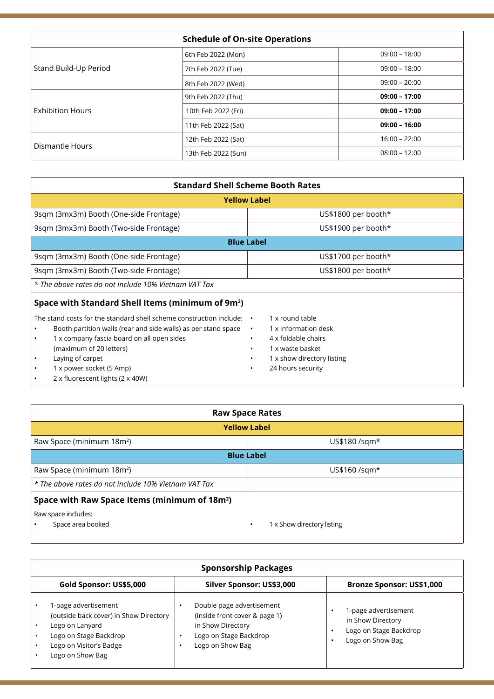| <b>Schedule of On-site Operations</b> |                     |                 |
|---------------------------------------|---------------------|-----------------|
|                                       | 6th Feb 2022 (Mon)  | $09:00 - 18:00$ |
| Stand Build-Up Period                 | 7th Feb 2022 (Tue)  | $09:00 - 18:00$ |
|                                       | 8th Feb 2022 (Wed)  | $09:00 - 20:00$ |
| <b>Exhibition Hours</b>               | 9th Feb 2022 (Thu)  | $09:00 - 17:00$ |
|                                       | 10th Feb 2022 (Fri) | $09:00 - 17:00$ |
|                                       | 11th Feb 2022 (Sat) | $09:00 - 16:00$ |
| Dismantle Hours                       | 12th Feb 2022 (Sat) | $16:00 - 22:00$ |
|                                       | 13th Feb 2022 (Sun) | $08:00 - 12:00$ |

| <b>Standard Shell Scheme Booth Rates</b>                                                                                                                                                                                                                                                                                                       |                                                                                                                                                                              |  |  |  |  |
|------------------------------------------------------------------------------------------------------------------------------------------------------------------------------------------------------------------------------------------------------------------------------------------------------------------------------------------------|------------------------------------------------------------------------------------------------------------------------------------------------------------------------------|--|--|--|--|
| <b>Yellow Label</b>                                                                                                                                                                                                                                                                                                                            |                                                                                                                                                                              |  |  |  |  |
| 9sqm (3mx3m) Booth (One-side Frontage)                                                                                                                                                                                                                                                                                                         | US\$1800 per booth*                                                                                                                                                          |  |  |  |  |
| 9sqm (3mx3m) Booth (Two-side Frontage)                                                                                                                                                                                                                                                                                                         | US\$1900 per booth*                                                                                                                                                          |  |  |  |  |
| <b>Blue Label</b>                                                                                                                                                                                                                                                                                                                              |                                                                                                                                                                              |  |  |  |  |
| 9sqm (3mx3m) Booth (One-side Frontage)                                                                                                                                                                                                                                                                                                         | US\$1700 per booth*                                                                                                                                                          |  |  |  |  |
| 9sqm (3mx3m) Booth (Two-side Frontage)                                                                                                                                                                                                                                                                                                         | US\$1800 per booth*                                                                                                                                                          |  |  |  |  |
| * The above rates do not include 10% Vietnam VAT Tax                                                                                                                                                                                                                                                                                           |                                                                                                                                                                              |  |  |  |  |
| Space with Standard Shell Items (minimum of 9m <sup>2</sup> )                                                                                                                                                                                                                                                                                  |                                                                                                                                                                              |  |  |  |  |
| The stand costs for the standard shell scheme construction include:<br>Booth partition walls (rear and side walls) as per stand space<br>1 x company fascia board on all open sides<br>٠<br>(maximum of 20 letters)<br>Laying of carpet<br>$\bullet$<br>1 x power socket (5 Amp)<br>$\bullet$<br>2 x fluorescent lights (2 x 40W)<br>$\bullet$ | 1 x round table<br>$\bullet$<br>1 x information desk<br>$\bullet$<br>4 x foldable chairs<br>$\bullet$<br>1 x waste basket<br>1 x show directory listing<br>24 hours security |  |  |  |  |

| <b>Raw Space Rates</b>                                    |                                 |  |  |  |
|-----------------------------------------------------------|---------------------------------|--|--|--|
| <b>Yellow Label</b>                                       |                                 |  |  |  |
| Raw Space (minimum 18m <sup>2</sup> )                     | US\$180 /sqm*                   |  |  |  |
| <b>Blue Label</b>                                         |                                 |  |  |  |
| Raw Space (minimum 18m <sup>2</sup> )                     | US\$160 /sqm*                   |  |  |  |
| * The above rates do not include 10% Vietnam VAT Tax      |                                 |  |  |  |
| Space with Raw Space Items (minimum of 18m <sup>2</sup> ) |                                 |  |  |  |
| Raw space includes:<br>Space area booked                  | 1 x Show directory listing<br>٠ |  |  |  |

| <b>Sponsorship Packages</b>                                                                                                                                |                                                                                                                               |                                                                                              |  |
|------------------------------------------------------------------------------------------------------------------------------------------------------------|-------------------------------------------------------------------------------------------------------------------------------|----------------------------------------------------------------------------------------------|--|
| Gold Sponsor: US\$5,000                                                                                                                                    | Silver Sponsor: US\$3,000                                                                                                     | <b>Bronze Sponsor: US\$1,000</b>                                                             |  |
| 1-page advertisement<br>(outside back cover) in Show Directory<br>Logo on Lanyard<br>Logo on Stage Backdrop<br>Logo on Visitor's Badge<br>Logo on Show Bag | Double page advertisement<br>(inside front cover & page 1)<br>in Show Directory<br>Logo on Stage Backdrop<br>Logo on Show Bag | 1-page advertisement<br>in Show Directory<br>Logo on Stage Backdrop<br>٠<br>Logo on Show Bag |  |